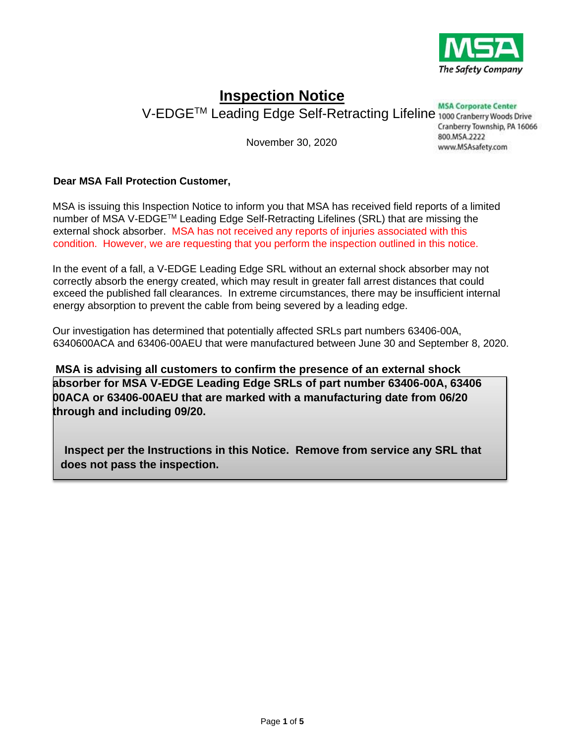

# **Inspection Notice**

V-EDGE<sup>TM</sup> Leading Edge Self-Retracting Lifeline 1000 Cranberry Woods Drive

November 30, 2020

Cranberry Township, PA 16066 800.MSA.2222 www.MSAsafety.com

### **Dear MSA Fall Protection Customer,**

MSA is issuing this Inspection Notice to inform you that MSA has received field reports of a limited number of MSA V-EDGE<sup>™</sup> Leading Edge Self-Retracting Lifelines (SRL) that are missing the external shock absorber. MSA has not received any reports of injuries associated with this condition. However, we are requesting that you perform the inspection outlined in this notice.

In the event of a fall, a V-EDGE Leading Edge SRL without an external shock absorber may not correctly absorb the energy created, which may result in greater fall arrest distances that could exceed the published fall clearances. In extreme circumstances, there may be insufficient internal energy absorption to prevent the cable from being severed by a leading edge.

Our investigation has determined that potentially affected SRLs part numbers 63406-00A, 6340600ACA and 63406-00AEU that were manufactured between June 30 and September 8, 2020.

**MSA is advising all customers to confirm the presence of an external shock absorber for MSA V-EDGE Leading Edge SRLs of part number 63406-00A, 63406 00ACA or 63406-00AEU that are marked with a manufacturing date from 06/20 through and including 09/20.** 

**Inspect per the Instructions in this Notice. Remove from service any SRL that does not pass the inspection.**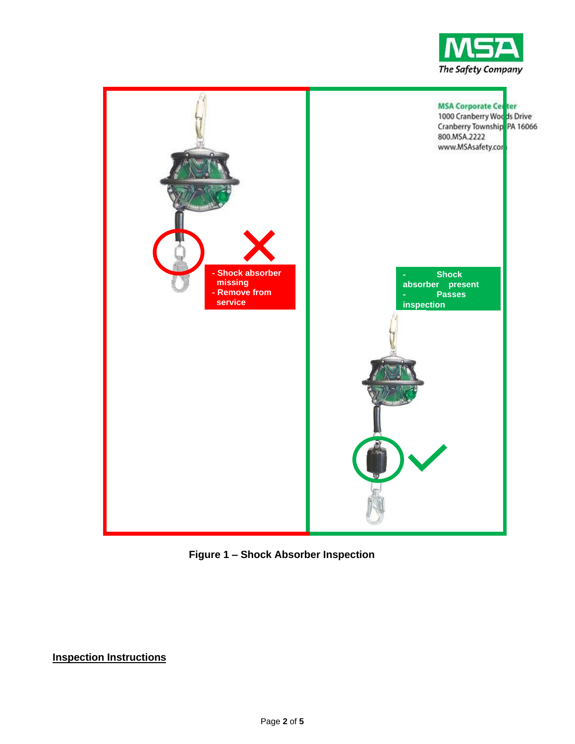



**Figure 1 – Shock Absorber Inspection** 

**Inspection Instructions**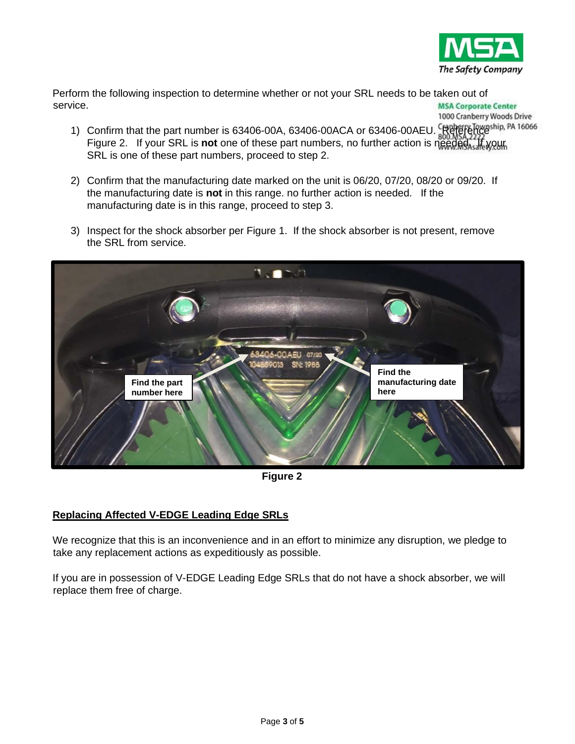

1000 Cranberry Woods Drive

Perform the following inspection to determine whether or not your SRL needs to be taken out of service. **MSA Corporate Center** 

- 1) Confirm that the part number is 63406-00A, 63406-00ACA or 63406-00AEU. Referenceship, PA 16066 Figure 2. If your SRL is **not** one of these part numbers, no further action is needed. If your SRL is one of these part numbers, proceed to step 2.
- 2) Confirm that the manufacturing date marked on the unit is 06/20, 07/20, 08/20 or 09/20. If the manufacturing date is **not** in this range. no further action is needed. If the manufacturing date is in this range, proceed to step 3.
- 3) Inspect for the shock absorber per Figure 1. If the shock absorber is not present, remove the SRL from service.



**Figure 2** 

## **Replacing Affected V-EDGE Leading Edge SRLs**

We recognize that this is an inconvenience and in an effort to minimize any disruption, we pledge to take any replacement actions as expeditiously as possible.

If you are in possession of V-EDGE Leading Edge SRLs that do not have a shock absorber, we will replace them free of charge.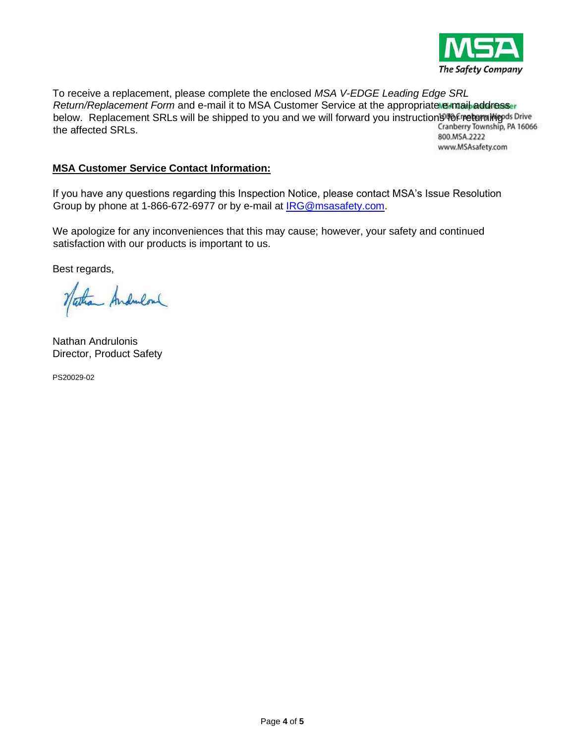

To receive a replacement, please complete the enclosed *MSA V-EDGE Leading Edge SRL Return/Replacement Form* and e-mail it to MSA Customer Service at the appropriate e-mail addresser below. Replacement SRLs will be shipped to you and we will forward you instruction **946 Freturning** of Drive<br>the affected SPLs the affected SRLs. 800.MSA.2222

www.MSAsafety.com

### **MSA Customer Service Contact Information:**

If you have any questions regarding this Inspection Notice, please contact MSA's Issue Resolution Group by phone at 1-866-672-6977 or by e-mail at IRG@msasafety.com.

We apologize for any inconveniences that this may cause; however, your safety and continued satisfaction with our products is important to us.

Best regards,

Nathan Andrulous

Nathan Andrulonis Director, Product Safety

PS20029-02